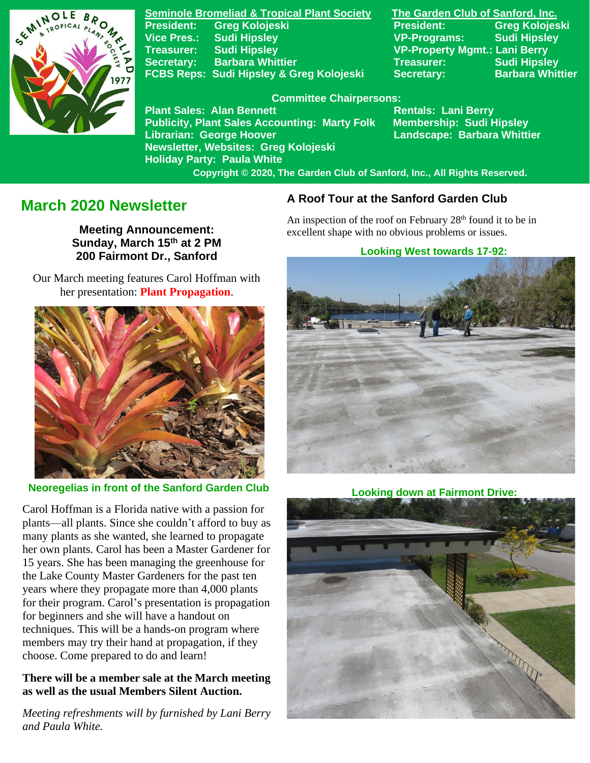

**Seminole Bromeliad & Tropical Plant Society The Garden Club of Sanford, Inc. Vice Pres.: Sudi Hipsley VP-Programs: Sudi Hipsley Treasurer: Sudi Hipsley VP-Property Mgmt.: Lani Berry Secretary:** Barbara Whittier **Network Secretary: Sudi Hipsley** FCBS Reps: Sudi Hipsley & Greg Kolojeski Secretary: Barbara Whittier

**President: Greg Kolojeski President: Greg Kolojeski** 

#### **Committee Chairpersons:**

Plant Sales: Alan Bennett<br>Publicity, Plant Sales Accounting: Marty Folk Membership: Sudi Hipsley **Publicity, Plant Sales Accounting: Marty Folk Librarian: George Hoover Landscape: Barbara Whittier Newsletter, Websites: Greg Kolojeski Holiday Party: Paula White** 

 **Copyright © 2020, The Garden Club of Sanford, Inc., All Rights Reserved.**

# **March 2020 Newsletter**

**Meeting Announcement: Sunday, March 15 th at 2 PM 200 Fairmont Dr., Sanford**

 Our March meeting features Carol Hoffman with her presentation: **Plant Propagation**.



 **Neoregelias in front of the Sanford Garden Club**

Carol Hoffman is a Florida native with a passion for plants—all plants. Since she couldn't afford to buy as many plants as she wanted, she learned to propagate her own plants. Carol has been a Master Gardener for 15 years. She has been managing the greenhouse for the Lake County Master Gardeners for the past ten years where they propagate more than 4,000 plants for their program. Carol's presentation is propagation for beginners and she will have a handout on techniques. This will be a hands-on program where members may try their hand at propagation, if they choose. Come prepared to do and learn!

### **There will be a member sale at the March meeting as well as the usual Members Silent Auction.**

*Meeting refreshments will by furnished by Lani Berry and Paula White.*

### **A Roof Tour at the Sanford Garden Club**

An inspection of the roof on February  $28<sup>th</sup>$  found it to be in excellent shape with no obvious problems or issues.

#### **Looking West towards 17-92:**



 **Looking down at Fairmont Drive:**